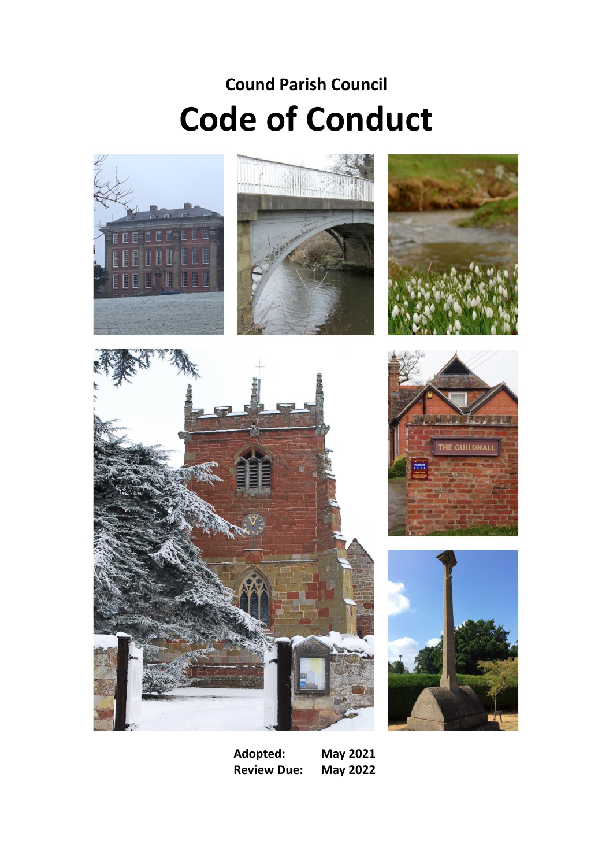# **Cound Parish Council Code of Conduct**













**Adopted: May 2021 Review Due: May 2022**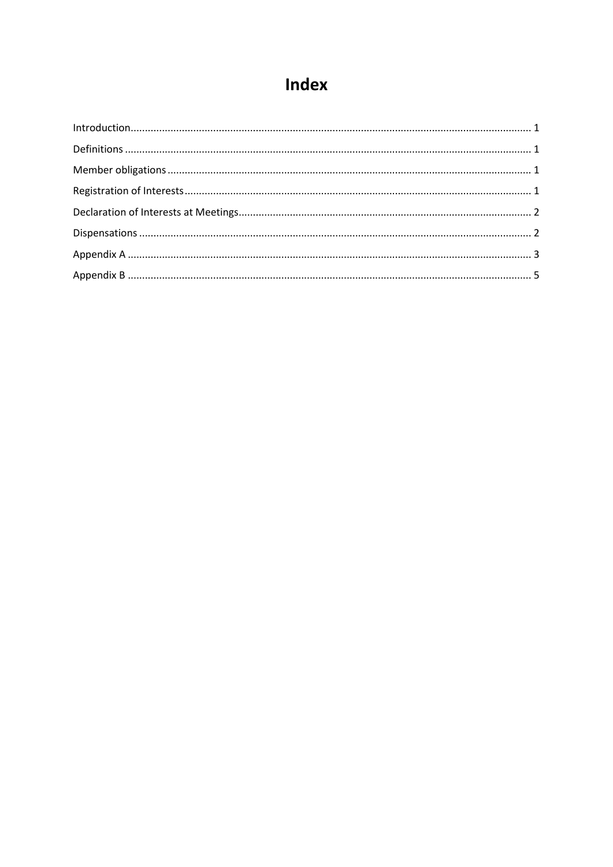## **Index**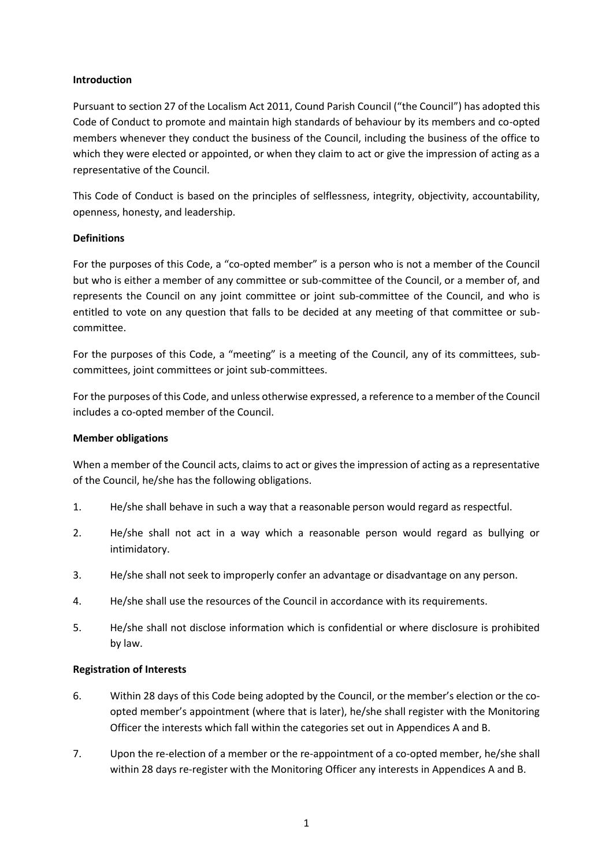#### <span id="page-2-0"></span>**Introduction**

Pursuant to section 27 of the Localism Act 2011, Cound Parish Council ("the Council") has adopted this Code of Conduct to promote and maintain high standards of behaviour by its members and co-opted members whenever they conduct the business of the Council, including the business of the office to which they were elected or appointed, or when they claim to act or give the impression of acting as a representative of the Council.

This Code of Conduct is based on the principles of selflessness, integrity, objectivity, accountability, openness, honesty, and leadership.

#### <span id="page-2-1"></span>**Definitions**

For the purposes of this Code, a "co-opted member" is a person who is not a member of the Council but who is either a member of any committee or sub-committee of the Council, or a member of, and represents the Council on any joint committee or joint sub-committee of the Council, and who is entitled to vote on any question that falls to be decided at any meeting of that committee or subcommittee.

For the purposes of this Code, a "meeting" is a meeting of the Council, any of its committees, subcommittees, joint committees or joint sub-committees.

For the purposes of this Code, and unless otherwise expressed, a reference to a member of the Council includes a co-opted member of the Council.

#### <span id="page-2-2"></span>**Member obligations**

When a member of the Council acts, claims to act or gives the impression of acting as a representative of the Council, he/she has the following obligations.

- 1. He/she shall behave in such a way that a reasonable person would regard as respectful.
- 2. He/she shall not act in a way which a reasonable person would regard as bullying or intimidatory.
- 3. He/she shall not seek to improperly confer an advantage or disadvantage on any person.
- 4. He/she shall use the resources of the Council in accordance with its requirements.
- 5. He/she shall not disclose information which is confidential or where disclosure is prohibited by law.

#### <span id="page-2-3"></span>**Registration of Interests**

- 6. Within 28 days of this Code being adopted by the Council, or the member's election or the coopted member's appointment (where that is later), he/she shall register with the Monitoring Officer the interests which fall within the categories set out in Appendices A and B.
- 7. Upon the re-election of a member or the re-appointment of a co-opted member, he/she shall within 28 days re-register with the Monitoring Officer any interests in Appendices A and B.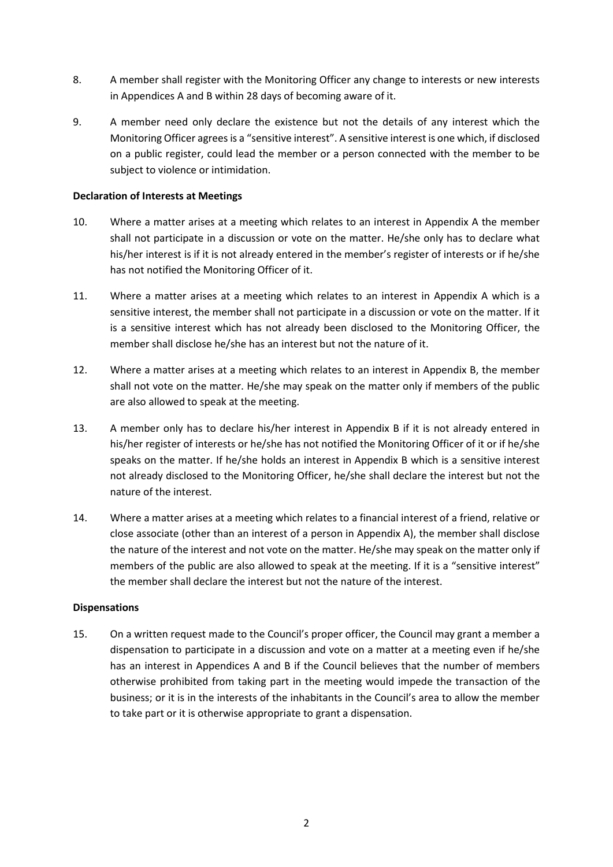- 8. A member shall register with the Monitoring Officer any change to interests or new interests in Appendices A and B within 28 days of becoming aware of it.
- 9. A member need only declare the existence but not the details of any interest which the Monitoring Officer agrees is a "sensitive interest". A sensitive interest is one which, if disclosed on a public register, could lead the member or a person connected with the member to be subject to violence or intimidation.

#### <span id="page-3-0"></span>**Declaration of Interests at Meetings**

- 10. Where a matter arises at a meeting which relates to an interest in Appendix A the member shall not participate in a discussion or vote on the matter. He/she only has to declare what his/her interest is if it is not already entered in the member's register of interests or if he/she has not notified the Monitoring Officer of it.
- 11. Where a matter arises at a meeting which relates to an interest in Appendix A which is a sensitive interest, the member shall not participate in a discussion or vote on the matter. If it is a sensitive interest which has not already been disclosed to the Monitoring Officer, the member shall disclose he/she has an interest but not the nature of it.
- 12. Where a matter arises at a meeting which relates to an interest in Appendix B, the member shall not vote on the matter. He/she may speak on the matter only if members of the public are also allowed to speak at the meeting.
- 13. A member only has to declare his/her interest in Appendix B if it is not already entered in his/her register of interests or he/she has not notified the Monitoring Officer of it or if he/she speaks on the matter. If he/she holds an interest in Appendix B which is a sensitive interest not already disclosed to the Monitoring Officer, he/she shall declare the interest but not the nature of the interest.
- 14. Where a matter arises at a meeting which relates to a financial interest of a friend, relative or close associate (other than an interest of a person in Appendix A), the member shall disclose the nature of the interest and not vote on the matter. He/she may speak on the matter only if members of the public are also allowed to speak at the meeting. If it is a "sensitive interest" the member shall declare the interest but not the nature of the interest.

#### <span id="page-3-1"></span>**Dispensations**

15. On a written request made to the Council's proper officer, the Council may grant a member a dispensation to participate in a discussion and vote on a matter at a meeting even if he/she has an interest in Appendices A and B if the Council believes that the number of members otherwise prohibited from taking part in the meeting would impede the transaction of the business; or it is in the interests of the inhabitants in the Council's area to allow the member to take part or it is otherwise appropriate to grant a dispensation.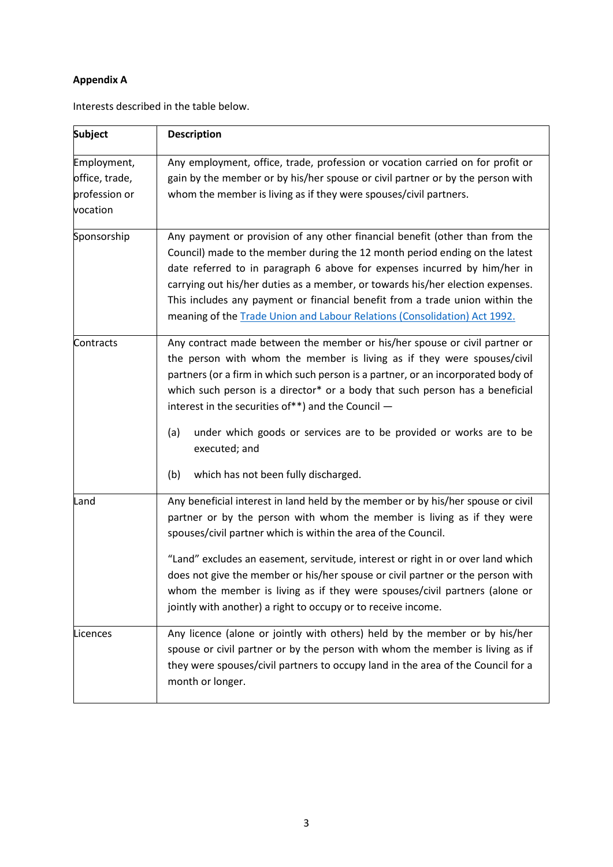### <span id="page-4-0"></span>**Appendix A**

Interests described in the table below.

| <b>Subject</b>                                             | <b>Description</b>                                                                                                                                                                                                                                                                                                                                                                                                                                                                                                                                |
|------------------------------------------------------------|---------------------------------------------------------------------------------------------------------------------------------------------------------------------------------------------------------------------------------------------------------------------------------------------------------------------------------------------------------------------------------------------------------------------------------------------------------------------------------------------------------------------------------------------------|
| Employment,<br>office, trade,<br>profession or<br>vocation | Any employment, office, trade, profession or vocation carried on for profit or<br>gain by the member or by his/her spouse or civil partner or by the person with<br>whom the member is living as if they were spouses/civil partners.                                                                                                                                                                                                                                                                                                             |
| Sponsorship                                                | Any payment or provision of any other financial benefit (other than from the<br>Council) made to the member during the 12 month period ending on the latest<br>date referred to in paragraph 6 above for expenses incurred by him/her in<br>carrying out his/her duties as a member, or towards his/her election expenses.<br>This includes any payment or financial benefit from a trade union within the<br>meaning of the Trade Union and Labour Relations (Consolidation) Act 1992.                                                           |
| Contracts                                                  | Any contract made between the member or his/her spouse or civil partner or<br>the person with whom the member is living as if they were spouses/civil<br>partners (or a firm in which such person is a partner, or an incorporated body of<br>which such person is a director* or a body that such person has a beneficial<br>interest in the securities of**) and the Council $-$<br>under which goods or services are to be provided or works are to be<br>(a)<br>executed; and<br>(b)<br>which has not been fully discharged.                  |
| Land                                                       | Any beneficial interest in land held by the member or by his/her spouse or civil<br>partner or by the person with whom the member is living as if they were<br>spouses/civil partner which is within the area of the Council.<br>"Land" excludes an easement, servitude, interest or right in or over land which<br>does not give the member or his/her spouse or civil partner or the person with<br>whom the member is living as if they were spouses/civil partners (alone or<br>jointly with another) a right to occupy or to receive income. |
| Licences                                                   | Any licence (alone or jointly with others) held by the member or by his/her<br>spouse or civil partner or by the person with whom the member is living as if<br>they were spouses/civil partners to occupy land in the area of the Council for a<br>month or longer.                                                                                                                                                                                                                                                                              |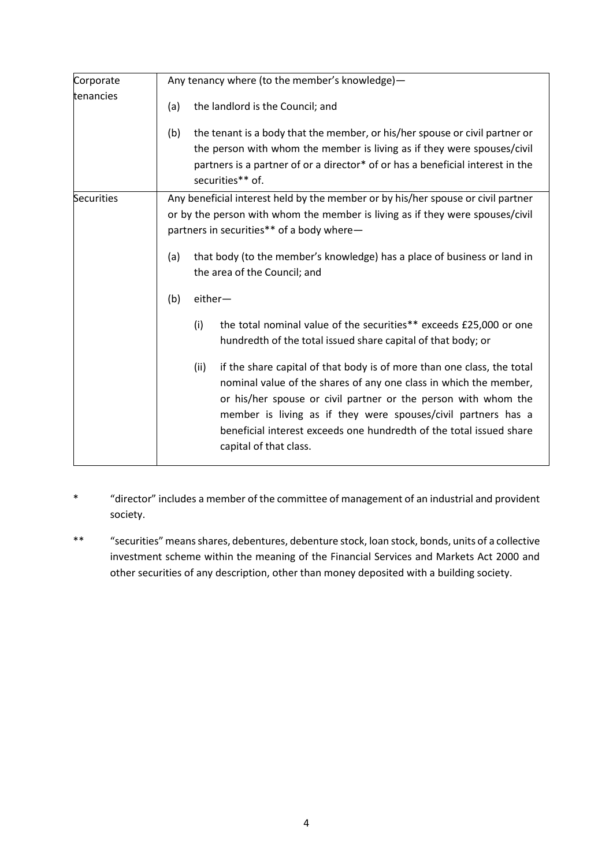| Corporate  | Any tenancy where (to the member's knowledge)-                                                                                                                                                                                                                                                                                                                                          |
|------------|-----------------------------------------------------------------------------------------------------------------------------------------------------------------------------------------------------------------------------------------------------------------------------------------------------------------------------------------------------------------------------------------|
| tenancies  |                                                                                                                                                                                                                                                                                                                                                                                         |
|            | the landlord is the Council; and<br>(a)                                                                                                                                                                                                                                                                                                                                                 |
|            | the tenant is a body that the member, or his/her spouse or civil partner or<br>(b)<br>the person with whom the member is living as if they were spouses/civil<br>partners is a partner of or a director* of or has a beneficial interest in the<br>securities** of.                                                                                                                     |
| Securities | Any beneficial interest held by the member or by his/her spouse or civil partner                                                                                                                                                                                                                                                                                                        |
|            | or by the person with whom the member is living as if they were spouses/civil<br>partners in securities** of a body where-                                                                                                                                                                                                                                                              |
|            | that body (to the member's knowledge) has a place of business or land in<br>(a)<br>the area of the Council; and                                                                                                                                                                                                                                                                         |
|            | either-<br>(b)                                                                                                                                                                                                                                                                                                                                                                          |
|            | the total nominal value of the securities** exceeds £25,000 or one<br>(i)<br>hundredth of the total issued share capital of that body; or                                                                                                                                                                                                                                               |
|            | if the share capital of that body is of more than one class, the total<br>(ii)<br>nominal value of the shares of any one class in which the member,<br>or his/her spouse or civil partner or the person with whom the<br>member is living as if they were spouses/civil partners has a<br>beneficial interest exceeds one hundredth of the total issued share<br>capital of that class. |

- \* "director" includes a member of the committee of management of an industrial and provident society.
- \*\* "securities" means shares, debentures, debenture stock, loan stock, bonds, units of a collective investment scheme within the meaning of the Financial Services and Markets Act 2000 and other securities of any description, other than money deposited with a building society.